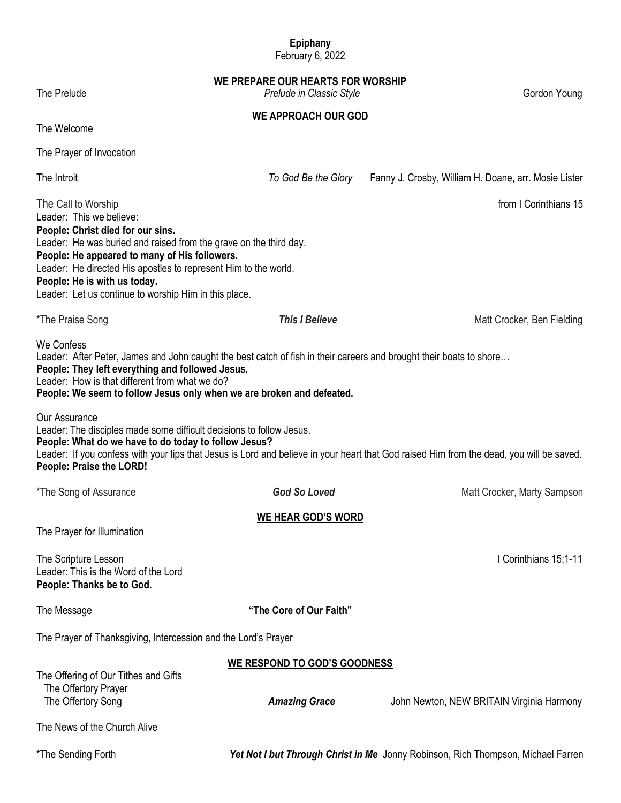# **Epiphany**

February 6, 2022

**WE PREPARE OUR HEARTS FOR WORSHIP**

**WE APPROACH OUR GOD**

The Prelude *Prelude in Classic Style Prelude in Classic Style Prelude in Classic Style* **<b>***Prelude in Classic Style Prelude in Classic Style Prelude in Classic Style Prelude in Classic Style Prelud* 

The Welcome

The Prayer of Invocation

The Introit *To God Be the Glory* Fanny J. Crosby, William H. Doane, arr. Mosie Lister The Call to Worship from I Corinthians 15 Leader: This we believe: **People: Christ died for our sins.** Leader: He was buried and raised from the grave on the third day. **People: He appeared to many of His followers.** Leader: He directed His apostles to represent Him to the world. **People: He is with us today.** Leader: Let us continue to worship Him in this place. \*The Praise Song **This I Believe This I Believe** Matt Crocker, Ben Fielding **Matt Crocker, Ben Fielding** We Confess Leader: After Peter, James and John caught the best catch of fish in their careers and brought their boats to shore... **People: They left everything and followed Jesus.** Leader: How is that different from what we do? **People: We seem to follow Jesus only when we are broken and defeated.** Our Assurance Leader: The disciples made some difficult decisions to follow Jesus. **People: What do we have to do today to follow Jesus?** Leader: If you confess with your lips that Jesus is Lord and believe in your heart that God raised Him from the dead, you will be saved. **People: Praise the LORD!** \*The Song of Assurance **Fig. 2.1 Cod So Loved God So Loved Matt Crocker, Marty Sampson WE HEAR GOD'S WORD** The Prayer for Illumination The Scripture Lesson **I** Corinthians 15:1-11 Leader: This is the Word of the Lord **People: Thanks be to God.** The Message **"The Core of Our Faith"** The Prayer of Thanksgiving, Intercession and the Lord's Prayer **WE RESPOND TO GOD'S GOODNESS** The Offering of Our Tithes and Gifts The Offertory Prayer The Offertory Song *Amazing Grace* John Newton, NEW BRITAIN Virginia Harmony The News of the Church Alive \*The Sending Forth *Yet Not I but Through Christ in Me* Jonny Robinson, Rich Thompson, Michael Farren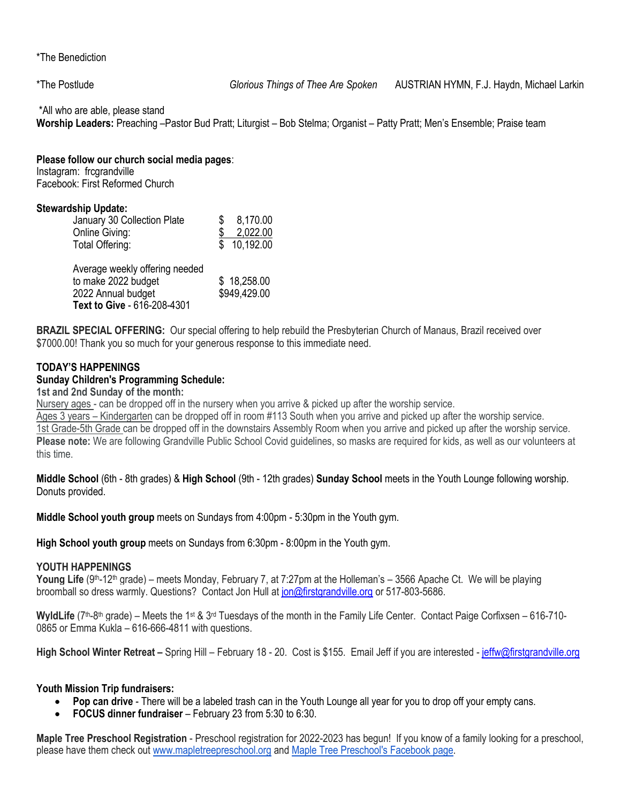\*The Benediction

\*All who are able, please stand

**Worship Leaders:** Preaching –Pastor Bud Pratt; Liturgist – Bob Stelma; Organist – Patty Pratt; Men's Ensemble; Praise team

#### **Please follow our church social media pages**:

Instagram: frcgrandville Facebook: First Reformed Church

#### **Stewardship Update:**

| January 30 Collection Plate | 8,170.00  |
|-----------------------------|-----------|
| Online Giving:              | 2,022.00  |
| Total Offering:             | 10,192.00 |

| Average weekly offering needed |              |
|--------------------------------|--------------|
| to make 2022 budget            | \$18,258.00  |
| 2022 Annual budget             | \$949,429.00 |
| Text to Give - 616-208-4301    |              |

**BRAZIL SPECIAL OFFERING:** Our special offering to help rebuild the Presbyterian Church of Manaus, Brazil received over \$7000.00! Thank you so much for your generous response to this immediate need.

# **TODAY'S HAPPENINGS**

## **Sunday Children's Programming Schedule:**

# **1st and 2nd Sunday of the month:**

Nursery ages - can be dropped off in the nursery when you arrive & picked up after the worship service.

Ages 3 years – Kindergarten can be dropped off in room #113 South when you arrive and picked up after the worship service. 1st Grade-5th Grade can be dropped off in the downstairs Assembly Room when you arrive and picked up after the worship service. **Please note:** We are following Grandville Public School Covid guidelines, so masks are required for kids, as well as our volunteers at this time.

**Middle School** (6th - 8th grades) & **High School** (9th - 12th grades) **Sunday School** meets in the Youth Lounge following worship. Donuts provided.

**Middle School youth group** meets on Sundays from 4:00pm - 5:30pm in the Youth gym.

**High School youth group** meets on Sundays from 6:30pm - 8:00pm in the Youth gym.

#### **YOUTH HAPPENINGS**

Young Life (9<sup>th</sup>-12<sup>th</sup> grade) – meets Monday, February 7, at 7:27pm at the Holleman's – 3566 Apache Ct. We will be playing broomball so dress warmly. Questions? Contact Jon Hull a[t jon@firstgrandville.org](mailto:jon@firstgrandville.org) or 517-803-5686.

WyldLife (7<sup>th</sup>-8<sup>th</sup> grade) – Meets the 1<sup>st</sup> & 3<sup>rd</sup> Tuesdays of the month in the Family Life Center. Contact Paige Corfixsen – 616-710-0865 or Emma Kukla – 616-666-4811 with questions.

High School Winter Retreat - Spring Hill - February 18 - 20. Cost is \$155. Email Jeff if you are interested - [jeffw@firstgrandville.org](mailto:jeffw@firstgrandville.org)

#### **Youth Mission Trip fundraisers:**

- **Pop can drive**  There will be a labeled trash can in the Youth Lounge all year for you to drop off your empty cans.
- **FOCUS dinner fundraiser**  February 23 from 5:30 to 6:30.

**Maple Tree Preschool Registration** - Preschool registration for 2022-2023 has begun! If you know of a family looking for a preschool, please have them check out [www.mapletreepreschool.org](http://www.mapletreepreschool.org/) and [Maple Tree Preschool's](https://www.facebook.com/Maple-Tree-Preschool-107534002642706) Facebook page.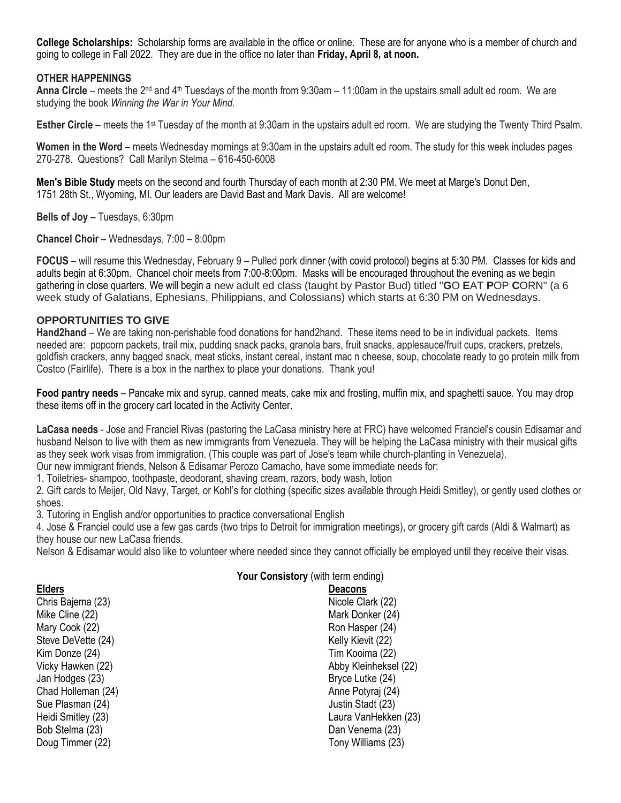**College Scholarships:** Scholarship forms are available in the office or online. These are for anyone who is a member of church and going to college in Fall 2022. They are due in the office no later than **Friday, April 8, at noon.**

#### **OTHER HAPPENINGS**

**Anna Circle** – meets the 2<sup>nd</sup> and 4<sup>th</sup> Tuesdays of the month from 9:30am – 11:00am in the upstairs small adult ed room. We are studying the book *Winning the War in Your Mind.*

**Esther Circle** – meets the 1<sup>st</sup> Tuesday of the month at 9:30am in the upstairs adult ed room. We are studying the Twenty Third Psalm.

**Women in the Word** – meets Wednesday mornings at 9:30am in the upstairs adult ed room. The study for this week includes pages 270-278. Questions? Call Marilyn Stelma – 616-450-6008

**Men's Bible Study** meets on the second and fourth Thursday of each month at 2:30 PM. We meet at Marge's Donut Den, 1751 28th St., Wyoming, MI. Our leaders are David Bast and Mark Davis. All are welcome!

**Bells of Joy –** Tuesdays, 6:30pm

**Chancel Choir** – Wednesdays, 7:00 – 8:00pm

**FOCUS** – will resume this Wednesday, February 9 – Pulled pork dinner (with covid protocol) begins at 5:30 PM. Classes for kids and adults begin at 6:30pm. Chancel choir meets from 7:00-8:00pm. Masks will be encouraged throughout the evening as we begin gathering in close quarters. We will begin a new adult ed class (taught by Pastor Bud) titled "**G**O **E**AT **P**OP **C**ORN" (a 6 week study of Galatians, Ephesians, Philippians, and Colossians) which starts at 6:30 PM on Wednesdays.

#### **OPPORTUNITIES TO GIVE**

**Hand2hand** – We are taking non-perishable food donations for hand2hand. These items need to be in individual packets. Items needed are: popcorn packets, trail mix, pudding snack packs, granola bars, fruit snacks, applesauce/fruit cups, crackers, pretzels, goldfish crackers, anny bagged snack, meat sticks, instant cereal, instant mac n cheese, soup, chocolate ready to go protein milk from Costco (Fairlife). There is a box in the narthex to place your donations. Thank you!

**Food pantry needs** – Pancake mix and syrup, canned meats, cake mix and frosting, muffin mix, and spaghetti sauce. You may drop these items off in the grocery cart located in the Activity Center.

**LaCasa needs** - Jose and Franciel Rivas (pastoring the LaCasa ministry here at FRC) have welcomed Franciel's cousin Edisamar and husband Nelson to live with them as new immigrants from Venezuela. They will be helping the LaCasa ministry with their musical gifts as they seek work visas from immigration. (This couple was part of Jose's team while church-planting in Venezuela).

Our new immigrant friends, Nelson & Edisamar Perozo Camacho, have some immediate needs for:

1. Toiletries- shampoo, toothpaste, deodorant, shaving cream, razors, body wash, lotion

2. Gift cards to Meijer, Old Navy, Target, or Kohl's for clothing (specific sizes available through Heidi Smitley), or gently used clothes or shoes.

3. Tutoring in English and/or opportunities to practice conversational English

4. Jose & Franciel could use a few gas cards (two trips to Detroit for immigration meetings), or grocery gift cards (Aldi & Walmart) as they house our new LaCasa friends.

Nelson & Edisamar would also like to volunteer where needed since they cannot officially be employed until they receive their visas.

#### **Your Consistory** (with term ending)

| <b>Elders</b>      | <b>Deacons</b>    |
|--------------------|-------------------|
| Chris Bajema (23)  | Nicole Cla        |
| Mike Cline (22)    | Mark Dor          |
| Mary Cook (22)     | Ron Hasp          |
| Steve DeVette (24) | Kelly Kiev        |
| Kim Donze (24)     | <b>Tim Kooir</b>  |
| Vicky Hawken (22)  | Abby Klei         |
| Jan Hodges (23)    | <b>Bryce Lut</b>  |
| Chad Holleman (24) | Anne Pot          |
| Sue Plasman (24)   | <b>Justin Sta</b> |
| Heidi Smitley (23) | Laura Va          |
| Bob Stelma (23)    | Dan Vene          |
| Doug Timmer (22)   | <b>Tony Will</b>  |
|                    |                   |

Nicole Clark (22) Mark Donker (24) Ron Hasper (24) Kelly Kievit (22) Tim Kooima (22) Abby Kleinheksel (22) Bryce Lutke (24) Anne Potyraj (24) Justin Stadt (23) Laura VanHekken (23) Dan Venema (23) Tony Williams (23)